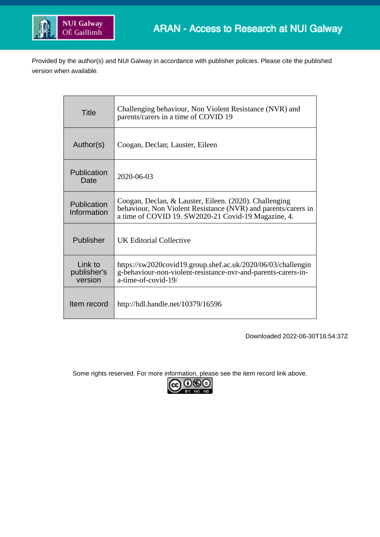

Provided by the author(s) and NUI Galway in accordance with publisher policies. Please cite the published version when available.

| <b>Title</b>                      | Challenging behaviour, Non Violent Resistance (NVR) and<br>parents/carers in a time of COVID 19                                                                                |
|-----------------------------------|--------------------------------------------------------------------------------------------------------------------------------------------------------------------------------|
| Author(s)                         | Coogan, Declan; Lauster, Eileen                                                                                                                                                |
| Publication<br>Date               | 2020-06-03                                                                                                                                                                     |
| Publication<br>Information        | Coogan, Declan, & Lauster, Eileen. (2020). Challenging<br>behaviour, Non Violent Resistance (NVR) and parents/carers in<br>a time of COVID 19. SW2020-21 Covid-19 Magazine, 4. |
| Publisher                         | UK Editorial Collective                                                                                                                                                        |
| Link to<br>publisher's<br>version | https://sw2020covid19.group.shef.ac.uk/2020/06/03/challengin<br>g-behaviour-non-violent-resistance-nvr-and-parents-carers-in-<br>a-time-of-covid-19/                           |
| Item record                       | http://hdl.handle.net/10379/16596                                                                                                                                              |

Downloaded 2022-06-30T16:54:37Z

Some rights reserved. For more information, please see the item record link above.

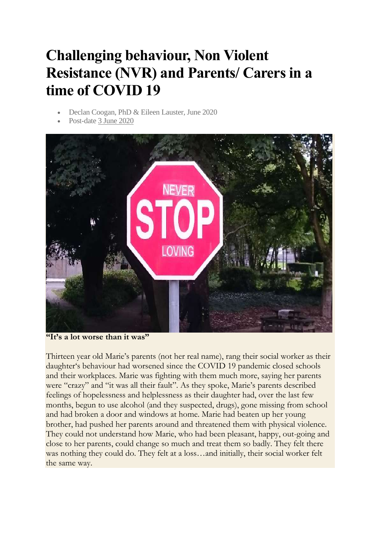# **Challenging behaviour, Non Violent Resistance (NVR) and Parents/ Carers in a time of COVID 19**

- Declan Coogan, PhD & Eileen Lauster, June 2020
- Post-date [3 June 2020](https://sw2020covid19.group.shef.ac.uk/2020/06/03/challenging-behaviour-non-violent-resistance-nvr-and-parents-carers-in-a-time-of-covid-19/)



**"It's a lot worse than it was"**

Thirteen year old Marie's parents (not her real name), rang their social worker as their daughter's behaviour had worsened since the COVID 19 pandemic closed schools and their workplaces. Marie was fighting with them much more, saying her parents were "crazy" and "it was all their fault". As they spoke, Marie's parents described feelings of hopelessness and helplessness as their daughter had, over the last few months, begun to use alcohol (and they suspected, drugs), gone missing from school and had broken a door and windows at home. Marie had beaten up her young brother, had pushed her parents around and threatened them with physical violence. They could not understand how Marie, who had been pleasant, happy, out-going and close to her parents, could change so much and treat them so badly. They felt there was nothing they could do. They felt at a loss…and initially, their social worker felt the same way.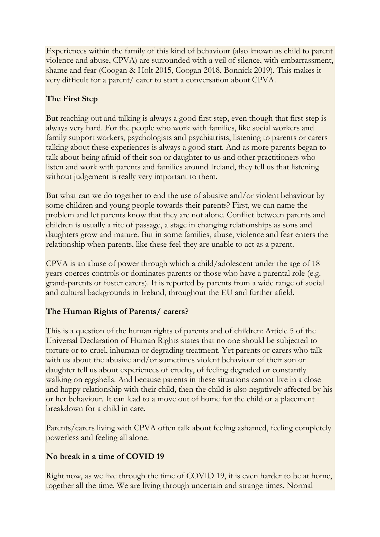Experiences within the family of this kind of behaviour (also known as child to parent violence and abuse, CPVA) are surrounded with a veil of silence, with embarrassment, shame and fear (Coogan & Holt 2015, Coogan 2018, Bonnick 2019). This makes it very difficult for a parent/ carer to start a conversation about CPVA.

## **The First Step**

But reaching out and talking is always a good first step, even though that first step is always very hard. For the people who work with families, like social workers and family support workers, psychologists and psychiatrists, listening to parents or carers talking about these experiences is always a good start. And as more parents began to talk about being afraid of their son or daughter to us and other practitioners who listen and work with parents and families around Ireland, they tell us that listening without judgement is really very important to them.

But what can we do together to end the use of abusive and/or violent behaviour by some children and young people towards their parents? First, we can name the problem and let parents know that they are not alone. Conflict between parents and children is usually a rite of passage, a stage in changing relationships as sons and daughters grow and mature. But in some families, abuse, violence and fear enters the relationship when parents, like these feel they are unable to act as a parent.

CPVA is an abuse of power through which a child/adolescent under the age of 18 years coerces controls or dominates parents or those who have a parental role (e.g. grand-parents or foster carers). It is reported by parents from a wide range of social and cultural backgrounds in Ireland, throughout the EU and further afield.

### **The Human Rights of Parents/ carers?**

This is a question of the human rights of parents and of children: Article 5 of the Universal Declaration of Human Rights states that no one should be subjected to torture or to cruel, inhuman or degrading treatment. Yet parents or carers who talk with us about the abusive and/or sometimes violent behaviour of their son or daughter tell us about experiences of cruelty, of feeling degraded or constantly walking on eggshells. And because parents in these situations cannot live in a close and happy relationship with their child, then the child is also negatively affected by his or her behaviour. It can lead to a move out of home for the child or a placement breakdown for a child in care.

Parents/carers living with CPVA often talk about feeling ashamed, feeling completely powerless and feeling all alone.

#### **No break in a time of COVID 19**

Right now, as we live through the time of COVID 19, it is even harder to be at home, together all the time. We are living through uncertain and strange times. Normal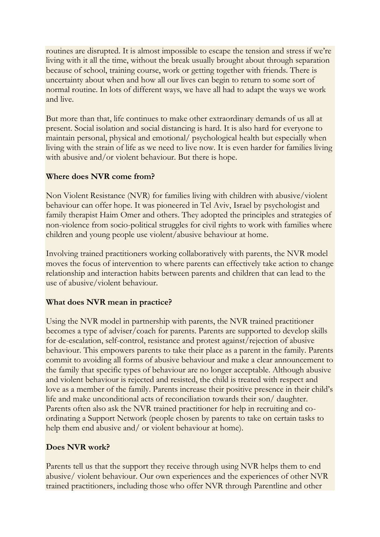routines are disrupted. It is almost impossible to escape the tension and stress if we're living with it all the time, without the break usually brought about through separation because of school, training course, work or getting together with friends. There is uncertainty about when and how all our lives can begin to return to some sort of normal routine. In lots of different ways, we have all had to adapt the ways we work and live.

But more than that, life continues to make other extraordinary demands of us all at present. Social isolation and social distancing is hard. It is also hard for everyone to maintain personal, physical and emotional/ psychological health but especially when living with the strain of life as we need to live now. It is even harder for families living with abusive and/or violent behaviour. But there is hope.

#### **Where does NVR come from?**

Non Violent Resistance (NVR) for families living with children with abusive/violent behaviour can offer hope. It was pioneered in Tel Aviv, Israel by psychologist and family therapist Haim Omer and others. They adopted the principles and strategies of non-violence from socio-political struggles for civil rights to work with families where children and young people use violent/abusive behaviour at home.

Involving trained practitioners working collaboratively with parents, the NVR model moves the focus of intervention to where parents can effectively take action to change relationship and interaction habits between parents and children that can lead to the use of abusive/violent behaviour.

#### **What does NVR mean in practice?**

Using the NVR model in partnership with parents, the NVR trained practitioner becomes a type of adviser/coach for parents. Parents are supported to develop skills for de-escalation, self-control, resistance and protest against/rejection of abusive behaviour. This empowers parents to take their place as a parent in the family. Parents commit to avoiding all forms of abusive behaviour and make a clear announcement to the family that specific types of behaviour are no longer acceptable. Although abusive and violent behaviour is rejected and resisted, the child is treated with respect and love as a member of the family. Parents increase their positive presence in their child's life and make unconditional acts of reconciliation towards their son/ daughter. Parents often also ask the NVR trained practitioner for help in recruiting and coordinating a Support Network (people chosen by parents to take on certain tasks to help them end abusive and/ or violent behaviour at home).

#### **Does NVR work?**

Parents tell us that the support they receive through using NVR helps them to end abusive/ violent behaviour. Our own experiences and the experiences of other NVR trained practitioners, including those who offer NVR through Parentline and other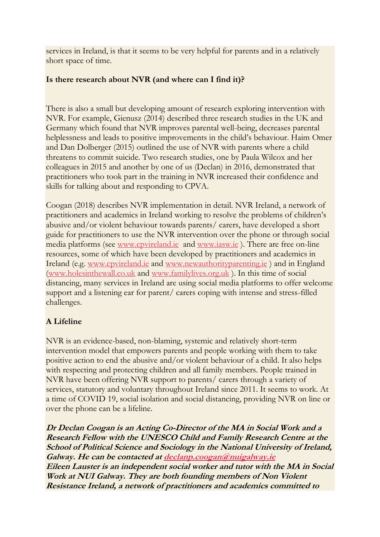services in Ireland, is that it seems to be very helpful for parents and in a relatively short space of time.

#### **Is there research about NVR (and where can I find it)?**

There is also a small but developing amount of research exploring intervention with NVR. For example, Gienusz (2014) described three research studies in the UK and Germany which found that NVR improves parental well-being, decreases parental helplessness and leads to positive improvements in the child's behaviour. Haim Omer and Dan Dolberger (2015) outlined the use of NVR with parents where a child threatens to commit suicide. Two research studies, one by Paula Wilcox and her colleagues in 2015 and another by one of us (Declan) in 2016, demonstrated that practitioners who took part in the training in NVR increased their confidence and skills for talking about and responding to CPVA.

Coogan (2018) describes NVR implementation in detail. NVR Ireland, a network of practitioners and academics in Ireland working to resolve the problems of children's abusive and/or violent behaviour towards parents/ carers, have developed a short guide for practitioners to use the NVR intervention over the phone or through social media platforms (see [www.cpvireland.ie](http://www.cpvireland.ie/) and [www.iasw.ie](http://www.iasw.ie/) ). There are free on-line resources, some of which have been developed by practitioners and academics in Ireland (e.g. [www.cpvireland.ie](http://www.cpvireland.ie/) and [www.newauthorityparenting.ie](http://www.newauthorityparenting.ie/) ) and in England [\(www.holesinthewall.co.uk](http://www.holesinthewall.co.uk/) and [www.familylives.org.uk](http://www.familylives.org.uk/) ). In this time of social distancing, many services in Ireland are using social media platforms to offer welcome support and a listening ear for parent/ carers coping with intense and stress-filled challenges.

## **A Lifeline**

NVR is an evidence-based, non-blaming, systemic and relatively short-term intervention model that empowers parents and people working with them to take positive action to end the abusive and/or violent behaviour of a child. It also helps with respecting and protecting children and all family members. People trained in NVR have been offering NVR support to parents/ carers through a variety of services, statutory and voluntary throughout Ireland since 2011. It seems to work. At a time of COVID 19, social isolation and social distancing, providing NVR on line or over the phone can be a lifeline.

**Dr Declan Coogan is an Acting Co-Director of the MA in Social Work and <sup>a</sup> Research Fellow with the UNESCO Child and Family Research Centre at the School of Political Science and Sociology in the National University of Ireland, Galway. He can be contacted at [declanp.coogan@nuigalway.ie](mailto:declanp.coogan@nuigalway.ie) Eileen Lauster is an independent social worker and tutor with the MA in Social Work at NUI Galway. They are both founding members of Non Violent Resistance Ireland, <sup>a</sup> network of practitioners and academics committed to**